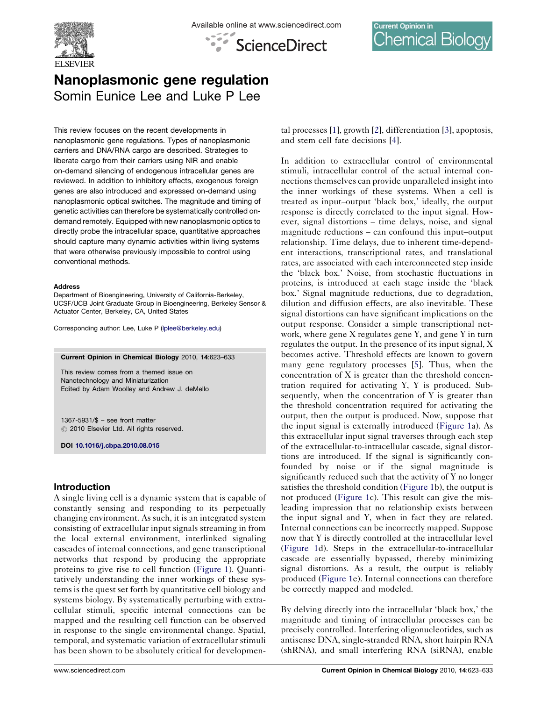





# Nanoplasmonic gene regulation Somin Eunice Lee and Luke P Lee

This review focuses on the recent developments in nanoplasmonic gene regulations. Types of nanoplasmonic carriers and DNA/RNA cargo are described. Strategies to liberate cargo from their carriers using NIR and enable on-demand silencing of endogenous intracellular genes are reviewed. In addition to inhibitory effects, exogenous foreign genes are also introduced and expressed on-demand using nanoplasmonic optical switches. The magnitude and timing of genetic activities can therefore be systematically controlled ondemand remotely. Equipped with new nanoplasmonic optics to directly probe the intracellular space, quantitative approaches should capture many dynamic activities within living systems that were otherwise previously impossible to control using conventional methods.

#### Address

Department of Bioengineering, University of California-Berkeley, UCSF/UCB Joint Graduate Group in Bioengineering, Berkeley Sensor & Actuator Center, Berkeley, CA, United States

Corresponding author: Lee, Luke P [\(lplee@berkeley.edu\)](mailto:lplee@berkeley.edu)

Current Opinion in Chemical Biology 2010, 14:623–633

This review comes from a themed issue on Nanotechnology and Miniaturization Edited by Adam Woolley and Andrew J. deMello

1367-5931/\$ – see front matter  $\oslash$  2010 Elsevier Ltd. All rights reserved.

DOI [10.1016/j.cbpa.2010.08.015](http://dx.doi.org/10.1016/j.cbpa.2010.08.015)

# Introduction

A single living cell is a dynamic system that is capable of constantly sensing and responding to its perpetually changing environment. As such, it is an integrated system consisting of extracellular input signals streaming in from the local external environment, interlinked signaling cascades of internal connections, and gene transcriptional networks that respond by producing the appropriate proteins to give rise to cell function [\(Figure 1](#page-1-0)). Quantitatively understanding the inner workings of these systems is the quest set forth by quantitative cell biology and systems biology. By systematically perturbing with extracellular stimuli, specific internal connections can be mapped and the resulting cell function can be observed in response to the single environmental change. Spatial, temporal, and systematic variation of extracellular stimuli has been shown to be absolutely critical for developmental processes [\[1](#page-9-0)], growth [\[2](#page-9-0)], differentiation [[3\]](#page-9-0), apoptosis, and stem cell fate decisions [\[4](#page-9-0)].

In addition to extracellular control of environmental stimuli, intracellular control of the actual internal connections themselves can provide unparalleled insight into the inner workings of these systems. When a cell is treated as input–output 'black box,' ideally, the output response is directly correlated to the input signal. However, signal distortions – time delays, noise, and signal magnitude reductions – can confound this input–output relationship. Time delays, due to inherent time-dependent interactions, transcriptional rates, and translational rates, are associated with each interconnected step inside the 'black box.' Noise, from stochastic fluctuations in proteins, is introduced at each stage inside the 'black box.' Signal magnitude reductions, due to degradation, dilution and diffusion effects, are also inevitable. These signal distortions can have significant implications on the output response. Consider a simple transcriptional network, where gene X regulates gene Y, and gene Y in turn regulates the output. In the presence of its input signal, X becomes active. Threshold effects are known to govern many gene regulatory processes [\[5](#page-9-0)]. Thus, when the concentration of X is greater than the threshold concentration required for activating Y, Y is produced. Subsequently, when the concentration of Y is greater than the threshold concentration required for activating the output, then the output is produced. Now, suppose that the input signal is externally introduced ([Figure 1](#page-1-0)a). As this extracellular input signal traverses through each step of the extracellular-to-intracellular cascade, signal distortions are introduced. If the signal is significantly confounded by noise or if the signal magnitude is significantly reduced such that the activity of Y no longer satisfies the threshold condition [\(Figure 1b](#page-1-0)), the output is not produced [\(Figure 1c](#page-1-0)). This result can give the misleading impression that no relationship exists between the input signal and Y, when in fact they are related. Internal connections can be incorrectly mapped. Suppose now that Y is directly controlled at the intracellular level ([Figure 1d](#page-1-0)). Steps in the extracellular-to-intracellular cascade are essentially bypassed, thereby minimizing signal distortions. As a result, the output is reliably produced ([Figure 1e](#page-1-0)). Internal connections can therefore be correctly mapped and modeled.

By delving directly into the intracellular 'black box,' the magnitude and timing of intracellular processes can be precisely controlled. Interfering oligonucleotides, such as antisense DNA, single-stranded RNA, short hairpin RNA (shRNA), and small interfering RNA (siRNA), enable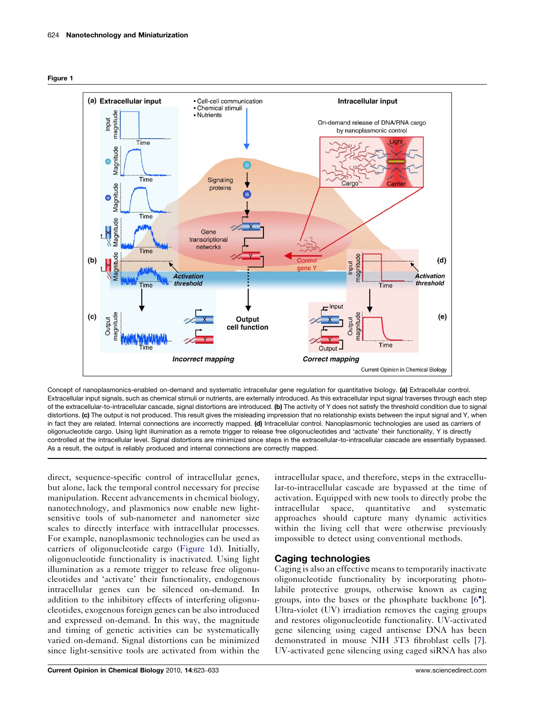<span id="page-1-0"></span>



Concept of nanoplasmonics-enabled on-demand and systematic intracellular gene regulation for quantitative biology. (a) Extracellular control. Extracellular input signals, such as chemical stimuli or nutrients, are externally introduced. As this extracellular input signal traverses through each step of the extracellular-to-intracellular cascade, signal distortions are introduced. (b) The activity of Y does not satisfy the threshold condition due to signal distortions. (c) The output is not produced. This result gives the misleading impression that no relationship exists between the input signal and Y, when in fact they are related. Internal connections are incorrectly mapped. (d) Intracellular control. Nanoplasmonic technologies are used as carriers of oligonucleotide cargo. Using light illumination as a remote trigger to release free oligonucleotides and 'activate' their functionality, Y is directly controlled at the intracellular level. Signal distortions are minimized since steps in the extracellular-to-intracellular cascade are essentially bypassed. As a result, the output is reliably produced and internal connections are correctly mapped.

direct, sequence-specific control of intracellular genes, but alone, lack the temporal control necessary for precise manipulation. Recent advancements in chemical biology, nanotechnology, and plasmonics now enable new lightsensitive tools of sub-nanometer and nanometer size scales to directly interface with intracellular processes. For example, nanoplasmonic technologies can be used as carriers of oligonucleotide cargo (Figure 1d). Initially, oligonucleotide functionality is inactivated. Using light illumination as a remote trigger to release free oligonucleotides and 'activate' their functionality, endogenous intracellular genes can be silenced on-demand. In addition to the inhibitory effects of interfering oligonucleotides, exogenous foreign genes can be also introduced and expressed on-demand. In this way, the magnitude and timing of genetic activities can be systematically varied on-demand. Signal distortions can be minimized since light-sensitive tools are activated from within the

intracellular space, and therefore, steps in the extracellular-to-intracellular cascade are bypassed at the time of activation. Equipped with new tools to directly probe the intracellular space, quantitative and systematic approaches should capture many dynamic activities within the living cell that were otherwise previously impossible to detect using conventional methods.

# Caging technologies

Caging is also an effective means to temporarily inactivate oligonucleotide functionality by incorporating photolabile protective groups, otherwise known as caging groups, into the bases or the phosphate backbone [[6](#page-9-0)<sup>°</sup>]. Ultra-violet (UV) irradiation removes the caging groups and restores oligonucleotide functionality. UV-activated gene silencing using caged antisense DNA has been demonstrated in mouse NIH 3T3 fibroblast cells [[7](#page-9-0)]. UV-activated gene silencing using caged siRNA has also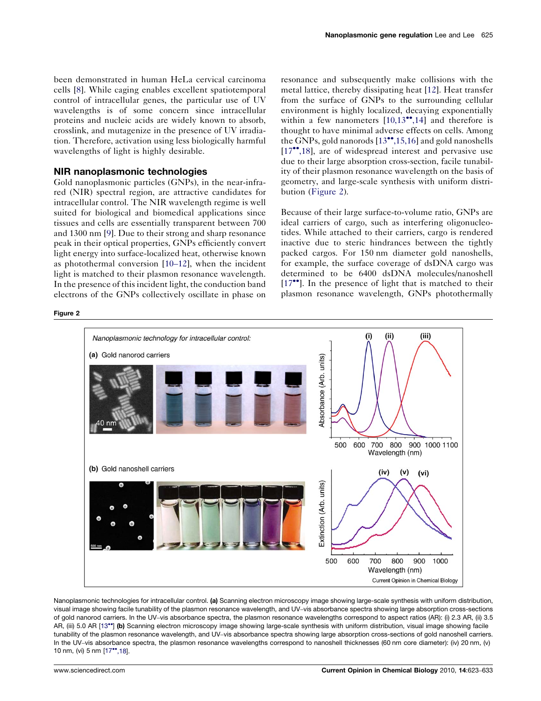been demonstrated in human HeLa cervical carcinoma cells [[8\]](#page-9-0). While caging enables excellent spatiotemporal control of intracellular genes, the particular use of UV wavelengths is of some concern since intracellular proteins and nucleic acids are widely known to absorb, crosslink, and mutagenize in the presence of UV irradiation. Therefore, activation using less biologically harmful wavelengths of light is highly desirable.

#### NIR nanoplasmonic technologies

Gold nanoplasmonic particles (GNPs), in the near-infrared (NIR) spectral region, are attractive candidates for intracellular control. The NIR wavelength regime is well suited for biological and biomedical applications since tissues and cells are essentially transparent between 700 and 1300 nm [[9\]](#page-9-0). Due to their strong and sharp resonance peak in their optical properties, GNPs efficiently convert light energy into surface-localized heat, otherwise known as photothermal conversion [10–[12\]](#page-9-0), when the incident light is matched to their plasmon resonance wavelength. In the presence of this incident light, the conduction band electrons of the GNPs collectively oscillate in phase on

Figure 2

resonance and subsequently make collisions with the metal lattice, thereby dissipating heat [[12\]](#page-9-0). Heat transfer from the surface of GNPs to the surrounding cellular environment is highly localized, decaying exponentially within a few nanometers  $[10, 13$ <sup>\*\*</sup>[,14\]](#page-9-0) and therefore is thought to have minimal adverse effects on cells. Among the GNPs, gold nanorods [\[13](#page-9-0)\*[,15,16\]](#page-9-0) and gold nanoshells [[17](#page-10-0)\*\*[,18](#page-10-0)], are of widespread interest and pervasive use due to their large absorption cross-section, facile tunability of their plasmon resonance wavelength on the basis of geometry, and large-scale synthesis with uniform distribution (Figure 2).

Because of their large surface-to-volume ratio, GNPs are ideal carriers of cargo, such as interfering oligonucleotides. While attached to their carriers, cargo is rendered inactive due to steric hindrances between the tightly packed cargos. For 150 nm diameter gold nanoshells, for example, the surface coverage of dsDNA cargo was determined to be 6400 dsDNA molecules/nanoshell [[17](#page-10-0)\*\*]. In the presence of light that is matched to their plasmon resonance wavelength, GNPs photothermally



Nanoplasmonic technologies for intracellular control. (a) Scanning electron microscopy image showing large-scale synthesis with uniform distribution, visual image showing facile tunability of the plasmon resonance wavelength, and UV–vis absorbance spectra showing large absorption cross-sections of gold nanorod carriers. In the UV–vis absorbance spectra, the plasmon resonance wavelengths correspond to aspect ratios (AR): (i) 2.3 AR, (ii) 3.5 AR, (iii) 5.0 AR [\[13](#page-9-0)\*\*] (b) Scanning electron microscopy image showing large-scale synthesis with uniform distribution, visual image showing facile tunability of the plasmon resonance wavelength, and UV–vis absorbance spectra showing large absorption cross-sections of gold nanoshell carriers. In the UV-vis absorbance spectra, the plasmon resonance wavelengths correspond to nanoshell thicknesses (60 nm core diameter): (iv) 20 nm, (v) 10 nm, (vi) 5 nm [[17](#page-10-0)\*\*[,18](#page-10-0)].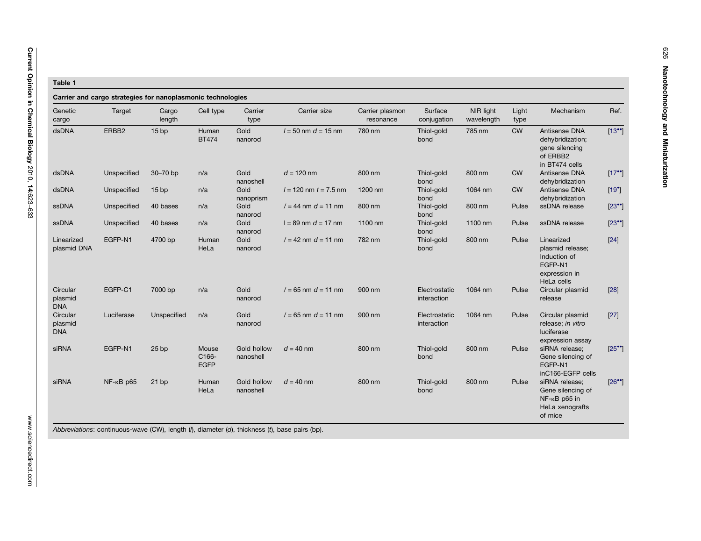<span id="page-3-0"></span>

|                                                                                    | Tε      |
|------------------------------------------------------------------------------------|---------|
|                                                                                    | $c_{i}$ |
|                                                                                    | G       |
|                                                                                    | ca      |
|                                                                                    | ds      |
| <b>CONSULTS AND ARRIVED AND ALL STATES AND ALL STATES AND RESPONSED ASSOCIATES</b> |         |
|                                                                                    | ds      |
|                                                                                    | ds      |
|                                                                                    |         |

| Table 1                                                     |                     |                  |                               |                          |                           |                              |                              |                         |               |                                                                                             |                      |  |
|-------------------------------------------------------------|---------------------|------------------|-------------------------------|--------------------------|---------------------------|------------------------------|------------------------------|-------------------------|---------------|---------------------------------------------------------------------------------------------|----------------------|--|
| Carrier and cargo strategies for nanoplasmonic technologies |                     |                  |                               |                          |                           |                              |                              |                         |               |                                                                                             |                      |  |
| Genetic<br>cargo                                            | Target              | Cargo<br>length  | Cell type                     | Carrier<br>type          | Carrier size              | Carrier plasmon<br>resonance | Surface<br>conjugation       | NIR light<br>wavelength | Light<br>type | Mechanism                                                                                   | Ref.                 |  |
| dsDNA                                                       | ERBB <sub>2</sub>   | 15 <sub>bp</sub> | Human<br><b>BT474</b>         | Gold<br>nanorod          | $l = 50$ nm $d = 15$ nm   | 780 nm                       | Thiol-gold<br>bond           | 785 nm                  | <b>CW</b>     | Antisense DNA<br>dehybridization;<br>gene silencing<br>of ERBB2<br>in BT474 cells           | $[13^{\circ}]$       |  |
| dsDNA                                                       | Unspecified         | 30-70 bp         | n/a                           | Gold<br>nanoshell        | $d = 120$ nm              | 800 nm                       | Thiol-gold<br>bond           | 800 nm                  | <b>CW</b>     | Antisense DNA<br>dehybridization                                                            | [17"                 |  |
| dsDNA                                                       | Unspecified         | 15 <sub>bp</sub> | n/a                           | Gold<br>nanoprism        | $l = 120$ nm $t = 7.5$ nm | 1200 nm                      | Thiol-gold<br>bond           | 1064 nm                 | <b>CW</b>     | Antisense DNA<br>dehybridization                                                            | $[19^{\circ}]$       |  |
| ssDNA                                                       | Unspecified         | 40 bases         | n/a                           | Gold<br>nanorod          | $/ = 44$ nm $d = 11$ nm   | 800 nm                       | Thiol-gold<br>bond           | 800 nm                  | Pulse         | ssDNA release                                                                               | [23"']               |  |
| ssDNA                                                       | Unspecified         | 40 bases         | n/a                           | Gold<br>nanorod          | $I = 89$ nm $d = 17$ nm   | 1100 nm                      | Thiol-gold<br>bond           | 1100 nm                 | Pulse         | ssDNA release                                                                               | [23"']               |  |
| Linearized<br>plasmid DNA                                   | EGFP-N1             | 4700 bp          | Human<br>HeLa                 | Gold<br>nanorod          | $/ = 42$ nm $d = 11$ nm   | 782 nm                       | Thiol-gold<br>bond           | 800 nm                  | Pulse         | Linearized<br>plasmid release;<br>Induction of<br>EGFP-N1<br>expression in<br>HeLa cells    | $[24]$               |  |
| Circular<br>plasmid<br><b>DNA</b>                           | EGFP-C1             | 7000 bp          | n/a                           | Gold<br>nanorod          | $/ = 65$ nm $d = 11$ nm   | 900 nm                       | Electrostatic<br>interaction | 1064 nm                 | Pulse         | Circular plasmid<br>release                                                                 | $[28]$               |  |
| Circular<br>plasmid<br><b>DNA</b>                           | Luciferase          | Unspecified      | n/a                           | Gold<br>nanorod          | $/ = 65$ nm $d = 11$ nm   | 900 nm                       | Electrostatic<br>interaction | 1064 nm                 | Pulse         | Circular plasmid<br>release; in vitro<br>luciferase<br>expression assay                     | $[27]$               |  |
| siRNA                                                       | EGFP-N1             | 25 <sub>bp</sub> | Mouse<br>C166-<br><b>EGFP</b> | Gold hollow<br>nanoshell | $d = 40$ nm               | 800 nm                       | Thiol-gold<br>bond           | 800 nm                  | Pulse         | siRNA release:<br>Gene silencing of<br>EGFP-N1<br>inC166-EGFP cells                         | $[25$ <sup>*</sup> ] |  |
| siRNA                                                       | $NF - \kappa B$ p65 | 21bp             | Human<br>HeLa                 | Gold hollow<br>nanoshell | $d = 40$ nm               | 800 nm                       | Thiol-gold<br>bond           | 800 nm                  | Pulse         | siRNA release;<br>Gene silencing of<br>$NF - \kappa B$ p65 in<br>HeLa xenografts<br>of mice | $[26$ <sup>*</sup> ] |  |

Abbreviations: continuous-wave (CW), length (I), diameter (d), thickness (t), base pairs (bp).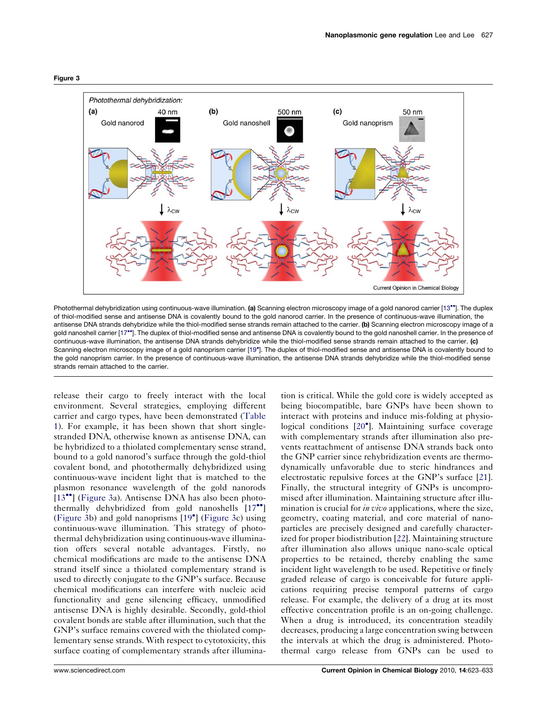

Photothermal dehybridization using continuous-wave illumination. (a) Scanning electron microscopy image of a gold nanorod carrier [[13](#page-9-0)\*\*]. The duplex of thiol-modified sense and antisense DNA is covalently bound to the gold nanorod carrier. In the presence of continuous-wave illumination, the antisense DNA strands dehybridize while the thiol-modified sense strands remain attached to the carrier. (b) Scanning electron microscopy image of a gold nanoshell carrier [[17](#page-10-0)\*\*]. The duplex of thiol-modified sense and antisense DNA is covalently bound to the gold nanoshell carrier. In the presence of continuous-wave illumination, the antisense DNA strands dehybridize while the thiol-modified sense strands remain attached to the carrier. (c) Scanning electron microscopy image of a gold nanoprism carrier [\[19](#page-10-0)<sup>\*</sup>]. The duplex of thiol-modified sense and antisense DNA is covalently bound to the gold nanoprism carrier. In the presence of continuous-wave illumination, the antisense DNA strands dehybridize while the thiol-modified sense strands remain attached to the carrier.

release their cargo to freely interact with the local environment. Several strategies, employing different carrier and cargo types, have been demonstrated ([Table](#page-3-0) [1\)](#page-3-0). For example, it has been shown that short singlestranded DNA, otherwise known as antisense DNA, can be hybridized to a thiolated complementary sense strand, bound to a gold nanorod's surface through the gold-thiol covalent bond, and photothermally dehybridized using continuous-wave incident light that is matched to the plasmon resonance wavelength of the gold nanorods [\[13](#page-9-0)<sup>\*\*</sup>] (Figure 3a). Antisense DNA has also been photo-thermally dehybridized from gold nanoshells [\[17](#page-10-0)<sup>oo</sup>] (Figure 3b) and gold nanoprisms [[19](#page-10-0)- ] (Figure 3c) using continuous-wave illumination. This strategy of photothermal dehybridization using continuous-wave illumination offers several notable advantages. Firstly, no chemical modifications are made to the antisense DNA strand itself since a thiolated complementary strand is used to directly conjugate to the GNP's surface. Because chemical modifications can interfere with nucleic acid functionality and gene silencing efficacy, unmodified antisense DNA is highly desirable. Secondly, gold-thiol covalent bonds are stable after illumination, such that the GNP's surface remains covered with the thiolated complementary sense strands. With respect to cytotoxicity, this surface coating of complementary strands after illumina-

tion is critical. While the gold core is widely accepted as being biocompatible, bare GNPs have been shown to interact with proteins and induce mis-folding at physio-logical conditions [[20](#page-10-0)°]. Maintaining surface coverage with complementary strands after illumination also prevents reattachment of antisense DNA strands back onto the GNP carrier since rehybridization events are thermodynamically unfavorable due to steric hindrances and electrostatic repulsive forces at the GNP's surface [[21\]](#page-10-0). Finally, the structural integrity of GNPs is uncompromised after illumination. Maintaining structure after illumination is crucial for *in vivo* applications, where the size, geometry, coating material, and core material of nanoparticles are precisely designed and carefully characterized for proper biodistribution [\[22](#page-10-0)]. Maintaining structure after illumination also allows unique nano-scale optical properties to be retained, thereby enabling the same incident light wavelength to be used. Repetitive or finely graded release of cargo is conceivable for future applications requiring precise temporal patterns of cargo release. For example, the delivery of a drug at its most effective concentration profile is an on-going challenge. When a drug is introduced, its concentration steadily decreases, producing a large concentration swing between the intervals at which the drug is administered. Photothermal cargo release from GNPs can be used to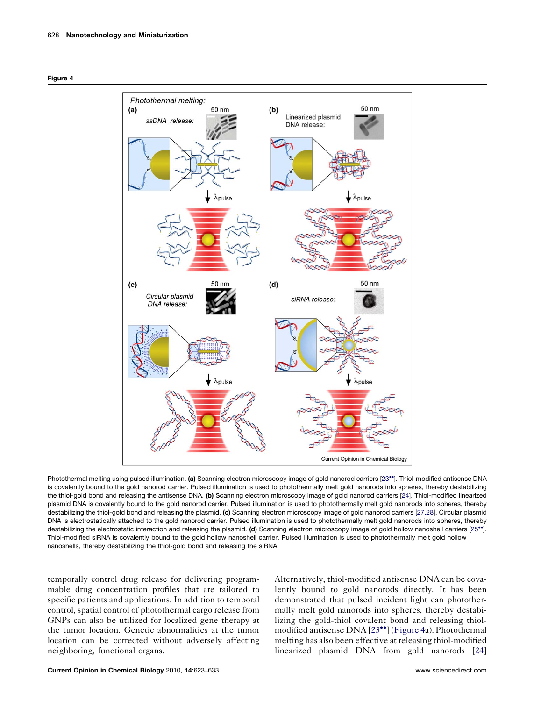<span id="page-5-0"></span>



Photothermal melting using pulsed illumination. (a) Scanning electron microscopy image of gold nanorod carriers [\[23](#page-10-0)\*\*]. Thiol-modified antisense DNA is covalently bound to the gold nanorod carrier. Pulsed illumination is used to photothermally melt gold nanorods into spheres, thereby destabilizing the thiol-gold bond and releasing the antisense DNA. (b) Scanning electron microscopy image of gold nanorod carriers [\[24](#page-10-0)]. Thiol-modified linearized plasmid DNA is covalently bound to the gold nanorod carrier. Pulsed illumination is used to photothermally melt gold nanorods into spheres, thereby destabilizing the thiol-gold bond and releasing the plasmid. (c) Scanning electron microscopy image of gold nanorod carriers [\[27,28](#page-10-0)]. Circular plasmid DNA is electrostatically attached to the gold nanorod carrier. Pulsed illumination is used to photothermally melt gold nanorods into spheres, thereby destabilizing the electrostatic interaction and releasing the plasmid. (d) Scanning electron microscopy image of gold hollow nanoshell carriers [\[25](#page-10-0)<sup>\*\*</sup>]. Thiol-modified siRNA is covalently bound to the gold hollow nanoshell carrier. Pulsed illumination is used to photothermally melt gold hollow nanoshells, thereby destabilizing the thiol-gold bond and releasing the siRNA.

temporally control drug release for delivering programmable drug concentration profiles that are tailored to specific patients and applications. In addition to temporal control, spatial control of photothermal cargo release from GNPs can also be utilized for localized gene therapy at the tumor location. Genetic abnormalities at the tumor location can be corrected without adversely affecting neighboring, functional organs.

Alternatively, thiol-modified antisense DNA can be covalently bound to gold nanorods directly. It has been demonstrated that pulsed incident light can photothermally melt gold nanorods into spheres, thereby destabilizing the gold-thiol covalent bond and releasing thiol-modified antisense DNA [\[23](#page-10-0)<sup>\*\*</sup>] (Figure 4a). Photothermal melting has also been effective at releasing thiol-modified linearized plasmid DNA from gold nanorods [\[24\]](#page-10-0)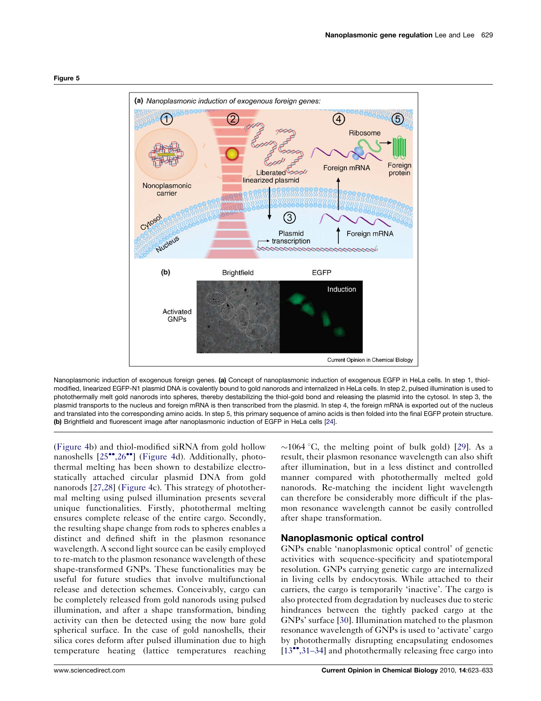

<span id="page-6-0"></span>Figure 5

Nanoplasmonic induction of exogenous foreign genes. (a) Concept of nanoplasmonic induction of exogenous EGFP in HeLa cells. In step 1, thiolmodified, linearized EGFP-N1 plasmid DNA is covalently bound to gold nanorods and internalized in HeLa cells. In step 2, pulsed illumination is used to photothermally melt gold nanorods into spheres, thereby destabilizing the thiol-gold bond and releasing the plasmid into the cytosol. In step 3, the plasmid transports to the nucleus and foreign mRNA is then transcribed from the plasmid. In step 4, the foreign mRNA is exported out of the nucleus and translated into the corresponding amino acids. In step 5, this primary sequence of amino acids is then folded into the final EGFP protein structure. (b) Brightfield and fluorescent image after nanoplasmonic induction of EGFP in HeLa cells [[24\]](#page-10-0).

[\(Figure 4b](#page-5-0)) and thiol-modified siRNA from gold hollow nanoshells [[25](#page-10-0)\*[,26](#page-10-0)\*\*] [\(Figure 4d](#page-5-0)). Additionally, photothermal melting has been shown to destabilize electrostatically attached circular plasmid DNA from gold nanorods [\[27,28\]](#page-10-0) [\(Figure 4](#page-5-0)c). This strategy of photothermal melting using pulsed illumination presents several unique functionalities. Firstly, photothermal melting ensures complete release of the entire cargo. Secondly, the resulting shape change from rods to spheres enables a distinct and defined shift in the plasmon resonance wavelength. A second light source can be easily employed to re-match to the plasmon resonance wavelength of these shape-transformed GNPs. These functionalities may be useful for future studies that involve multifunctional release and detection schemes. Conceivably, cargo can be completely released from gold nanorods using pulsed illumination, and after a shape transformation, binding activity can then be detected using the now bare gold spherical surface. In the case of gold nanoshells, their silica cores deform after pulsed illumination due to high temperature heating (lattice temperatures reaching

 $\sim$ 1064 °C, the melting point of bulk gold) [[29\]](#page-10-0). As a result, their plasmon resonance wavelength can also shift after illumination, but in a less distinct and controlled manner compared with photothermally melted gold nanorods. Re-matching the incident light wavelength can therefore be considerably more difficult if the plasmon resonance wavelength cannot be easily controlled after shape transformation.

# Nanoplasmonic optical control

GNPs enable 'nanoplasmonic optical control' of genetic activities with sequence-specificity and spatiotemporal resolution. GNPs carrying genetic cargo are internalized in living cells by endocytosis. While attached to their carriers, the cargo is temporarily 'inactive'. The cargo is also protected from degradation by nucleases due to steric hindrances between the tightly packed cargo at the GNPs' surface [[30\]](#page-10-0). Illumination matched to the plasmon resonance wavelength of GNPs is used to 'activate' cargo by photothermally disrupting encapsulating endosomes [[13](#page-9-0)<sup>••</sup>[,31](#page-9-0)-34] and photothermally releasing free cargo into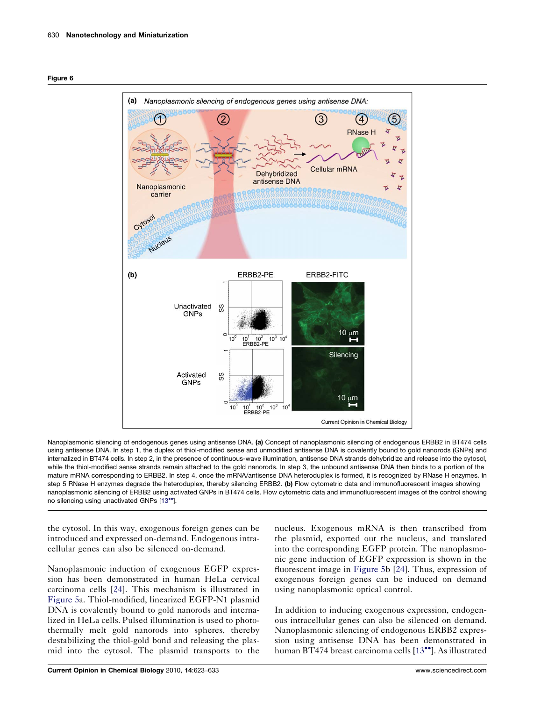<span id="page-7-0"></span>



Nanoplasmonic silencing of endogenous genes using antisense DNA. (a) Concept of nanoplasmonic silencing of endogenous ERBB2 in BT474 cells using antisense DNA. In step 1, the duplex of thiol-modified sense and unmodified antisense DNA is covalently bound to gold nanorods (GNPs) and internalized in BT474 cells. In step 2, in the presence of continuous-wave illumination, antisense DNA strands dehybridize and release into the cytosol, while the thiol-modified sense strands remain attached to the gold nanorods. In step 3, the unbound antisense DNA then binds to a portion of the mature mRNA corresponding to ERBB2. In step 4, once the mRNA/antisense DNA heteroduplex is formed, it is recognized by RNase H enzymes. In step 5 RNase H enzymes degrade the heteroduplex, thereby silencing ERBB2. (b) Flow cytometric data and immunofluorescent images showing nanoplasmonic silencing of ERBB2 using activated GNPs in BT474 cells. Flow cytometric data and immunofluorescent images of the control showing no silencing using unactivated GNPs [\[13](#page-9-0)\*\*].

the cytosol. In this way, exogenous foreign genes can be introduced and expressed on-demand. Endogenous intracellular genes can also be silenced on-demand.

Nanoplasmonic induction of exogenous EGFP expression has been demonstrated in human HeLa cervical carcinoma cells [[24\]](#page-10-0). This mechanism is illustrated in [Figure 5a](#page-6-0). Thiol-modified, linearized EGFP-N1 plasmid DNA is covalently bound to gold nanorods and internalized in HeLa cells. Pulsed illumination is used to photothermally melt gold nanorods into spheres, thereby destabilizing the thiol-gold bond and releasing the plasmid into the cytosol. The plasmid transports to the nucleus. Exogenous mRNA is then transcribed from the plasmid, exported out the nucleus, and translated into the corresponding EGFP protein. The nanoplasmonic gene induction of EGFP expression is shown in the fluorescent image in [Figure 5b](#page-6-0) [\[24](#page-10-0)]. Thus, expression of exogenous foreign genes can be induced on demand using nanoplasmonic optical control.

In addition to inducing exogenous expression, endogenous intracellular genes can also be silenced on demand. Nanoplasmonic silencing of endogenous ERBB2 expression using antisense DNA has been demonstrated in human BT474 breast carcinoma cells [[13](#page-9-0)\*\*]. As illustrated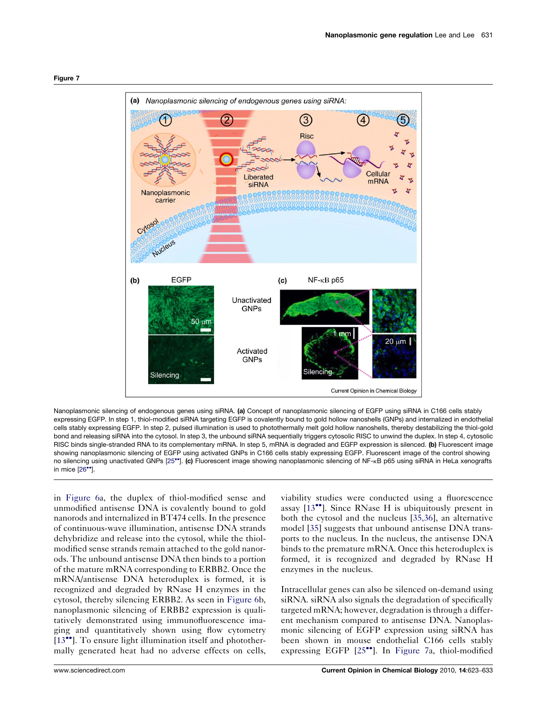

#### <span id="page-8-0"></span>Figure 7

Nanoplasmonic silencing of endogenous genes using siRNA. (a) Concept of nanoplasmonic silencing of EGFP using siRNA in C166 cells stably expressing EGFP. In step 1, thiol-modified siRNA targeting EGFP is covalently bound to gold hollow nanoshells (GNPs) and internalized in endothelial cells stably expressing EGFP. In step 2, pulsed illumination is used to photothermally melt gold hollow nanoshells, thereby destabilizing the thiol-gold bond and releasing siRNA into the cytosol. In step 3, the unbound siRNA sequentially triggers cytosolic RISC to unwind the duplex. In step 4, cytosolic RISC binds single-stranded RNA to its complementary mRNA. In step 5, mRNA is degraded and EGFP expression is silenced. (b) Fluorescent image showing nanoplasmonic silencing of EGFP using activated GNPs in C166 cells stably expressing EGFP. Fluorescent image of the control showing no silencing using unactivated GNPs [[25](#page-10-0)<sup>\*</sup>]. (c) Fluorescent image showing nanoplasmonic silencing of NF-<sub>K</sub>B p65 using siRNA in HeLa xenografts in mice  $[26$  $[26$ <sup>\*</sup>].

in [Figure 6a](#page-7-0), the duplex of thiol-modified sense and unmodified antisense DNA is covalently bound to gold nanorods and internalized in BT474 cells. In the presence of continuous-wave illumination, antisense DNA strands dehybridize and release into the cytosol, while the thiolmodified sense strands remain attached to the gold nanorods. The unbound antisense DNA then binds to a portion of the mature mRNA corresponding to ERBB2. Once the mRNA/antisense DNA heteroduplex is formed, it is recognized and degraded by RNase H enzymes in the cytosol, thereby silencing ERBB2. As seen in [Figure 6](#page-7-0)b, nanoplasmonic silencing of ERBB2 expression is qualitatively demonstrated using immunofluorescence imaging and quantitatively shown using flow cytometry [\[13](#page-9-0)<sup>\*\*</sup>]. To ensure light illumination itself and photothermally generated heat had no adverse effects on cells, viability studies were conducted using a fluorescence assay [\[13](#page-9-0)<sup>\*</sup>]. Since RNase H is ubiquitously present in both the cytosol and the nucleus [[35,36](#page-10-0)], an alternative model [\[35](#page-10-0)] suggests that unbound antisense DNA transports to the nucleus. In the nucleus, the antisense DNA binds to the premature mRNA. Once this heteroduplex is formed, it is recognized and degraded by RNase H enzymes in the nucleus.

Intracellular genes can also be silenced on-demand using siRNA. siRNA also signals the degradation of specifically targeted mRNA; however, degradation is through a different mechanism compared to antisense DNA. Nanoplasmonic silencing of EGFP expression using siRNA has been shown in mouse endothelial C166 cells stably expressing EGFP [\[25](#page-10-0)<sup>\*</sup>]. In Figure 7a, thiol-modified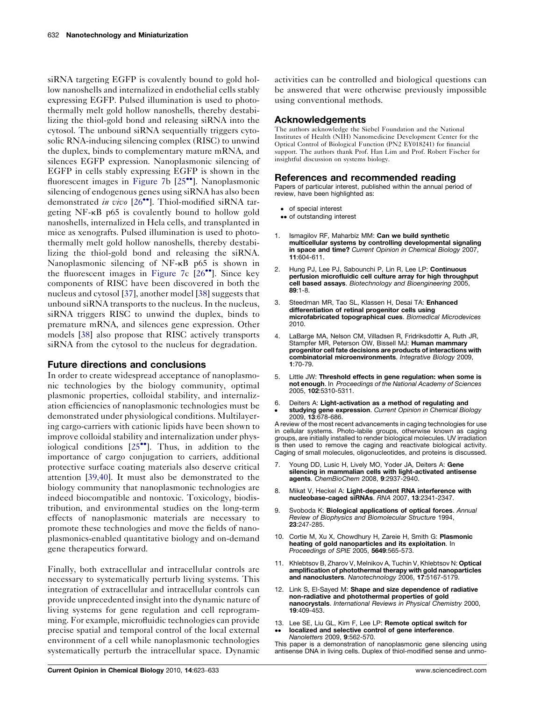<span id="page-9-0"></span>siRNA targeting EGFP is covalently bound to gold hollow nanoshells and internalized in endothelial cells stably expressing EGFP. Pulsed illumination is used to photothermally melt gold hollow nanoshells, thereby destabilizing the thiol-gold bond and releasing siRNA into the cytosol. The unbound siRNA sequentially triggers cytosolic RNA-inducing silencing complex (RISC) to unwind the duplex, binds to complementary mature mRNA, and silences EGFP expression. Nanoplasmonic silencing of EGFP in cells stably expressing EGFP is shown in the fluorescent images in [Figure 7b](#page-8-0) [[25](#page-10-0)\*\*]. Nanoplasmonic silencing of endogenous genes using siRNA has also been demonstrated in vivo [[26](#page-10-0)<sup>••</sup>]. Thiol-modified siRNA targeting NF-kB p65 is covalently bound to hollow gold nanoshells, internalized in Hela cells, and transplanted in mice as xenografts. Pulsed illumination is used to photothermally melt gold hollow nanoshells, thereby destabilizing the thiol-gold bond and releasing the siRNA. Nanoplasmonic silencing of NF- $\kappa$ B p65 is shown in the fluorescent images in [Figure 7c](#page-8-0)  $[26$ <sup>\*</sup>. Since key components of RISC have been discovered in both the nucleus and cytosol [[37\]](#page-10-0), another model [[38\]](#page-10-0) suggests that unbound siRNA transports to the nucleus. In the nucleus, siRNA triggers RISC to unwind the duplex, binds to premature mRNA, and silences gene expression. Other models [[38\]](#page-10-0) also propose that RISC actively transports siRNA from the cytosol to the nucleus for degradation.

### Future directions and conclusions

In order to create widespread acceptance of nanoplasmonic technologies by the biology community, optimal plasmonic properties, colloidal stability, and internalization efficiencies of nanoplasmonic technologies must be demonstrated under physiological conditions. Multilayering cargo-carriers with cationic lipids have been shown to improve colloidal stability and internalization under physiological conditions  $[25\text{°}$  $[25\text{°}$  $[25\text{°}$ . Thus, in addition to the importance of cargo conjugation to carriers, additional protective surface coating materials also deserve critical attention [[39,40](#page-10-0)]. It must also be demonstrated to the biology community that nanoplasmonic technologies are indeed biocompatible and nontoxic. Toxicology, biodistribution, and environmental studies on the long-term effects of nanoplasmonic materials are necessary to promote these technologies and move the fields of nanoplasmonics-enabled quantitative biology and on-demand gene therapeutics forward.

Finally, both extracellular and intracellular controls are necessary to systematically perturb living systems. This integration of extracellular and intracellular controls can provide unprecedented insight into the dynamic nature of living systems for gene regulation and cell reprogramming. For example, microfluidic technologies can provide precise spatial and temporal control of the local external environment of a cell while nanoplasmonic technologies systematically perturb the intracellular space. Dynamic

activities can be controlled and biological questions can be answered that were otherwise previously impossible using conventional methods.

## Acknowledgements

The authors acknowledge the Siebel Foundation and the National Institutes of Health (NIH) Nanomedicine Development Center for the Optical Control of Biological Function (PN2 EY018241) for financial support. The authors thank Prof. Han Lim and Prof. Robert Fischer for insightful discussion on systems biology.

#### References and recommended reading

Papers of particular interest, published within the annual period of review, have been highlighted as:

- of special interest
- •• of outstanding interest
- 1. Ismagilov RF, Maharbiz MM: Can we build synthetic multicellular systems by controlling developmental signaling in space and time? Current Opinion in Chemical Biology 2007, 11:604-611.
- 2. Hung PJ, Lee PJ, Sabounchi P, Lin R, Lee LP: Continuous perfusion microfluidic cell culture array for high throughput cell based assays. Biotechnology and Bioengineering 2005, 89:1-8.
- Steedman MR, Tao SL, Klassen H, Desai TA: Enhanced differentiation of retinal progenitor cells using microfabricated topographical cues. Biomedical Microdevices 2010.
- 4. LaBarge MA, Nelson CM, Villadsen R, Fridriksdottir A, Ruth JR, Stampfer MR, Peterson OW, Bissell MJ: Human mammary progenitor cell fate decisions are products of interactions with combinatorial microenvironments. Integrative Biology 2009, 1:70-79.
- 5. Little JW: Threshold effects in gene regulation: when some is not enough. In Proceedings of the National Academy of Sciences 2005, 102:5310-5311.
- 6. -Deiters A: Light-activation as a method of regulating and studying gene expression. Current Opinion in Chemical Biology 2009, 13:678-686.

A review of the most recent advancements in caging technologies for use in cellular systems. Photo-labile groups, otherwise known as caging groups, are initially installed to render biological molecules. UV irradiation is then used to remove the caging and reactivate biological activity. Caging of small molecules, oligonucleotides, and proteins is discussed.

- 7. Young DD, Lusic H, Lively MO, Yoder JA, Deiters A: Gene silencing in mammalian cells with light-activated antisense agents. ChemBioChem 2008, 9:2937-2940.
- 8. Mikat V, Heckel A: Light-dependent RNA interference with nucleobase-caged siRNAs. RNA 2007, 13:2341-2347.
- 9. Svoboda K: Biological applications of optical forces. Annual Review of Biophysics and Biomolecular Structure 1994, 23:247-285.
- 10. Cortie M, Xu X, Chowdhury H, Zareie H, Smith G: Plasmonic heating of gold nanoparticles and its exploitation. In Proceedings of SPIE 2005, 5649:565-573.
- 11. Khlebtsov B, Zharov V, Melnikov A, Tuchin V, Khlebtsov N: Optical amplification of photothermal therapy with gold nanoparticles and nanoclusters. Nanotechnology 2006, 17:5167-5179.
- 12. Link S, El-Sayed M: Shape and size dependence of radiative non-radiative and photothermal properties of gold nanocrystals. International Reviews in Physical Chemistry 2000, 19:409-453.
- 13. Lee SE, Liu GL, Kim F, Lee LP: Remote optical switch for -localized and selective control of gene interference.

Nanoletters 2009, 9:562-570. This paper is a demonstration of nanoplasmonic gene silencing using antisense DNA in living cells. Duplex of thiol-modified sense and unmo-